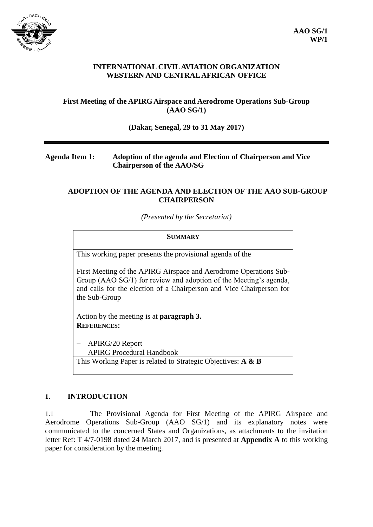

### **INTERNATIONAL CIVIL AVIATION ORGANIZATION WESTERN AND CENTRAL AFRICAN OFFICE**

## **First Meeting of the APIRG Airspace and Aerodrome Operations Sub-Group (AAO SG/1)**

#### **(Dakar, Senegal, 29 to 31 May 2017)**

## **Agenda Item 1: Adoption of the agenda and Election of Chairperson and Vice Chairperson of the AAO/SG**

#### **ADOPTION OF THE AGENDA AND ELECTION OF THE AAO SUB-GROUP CHAIRPERSON**

*(Presented by the Secretariat)*

#### **SUMMARY**

This working paper presents the provisional agenda of the

First Meeting of the APIRG Airspace and Aerodrome Operations Sub-Group (AAO SG/1) for review and adoption of the Meeting's agenda, and calls for the election of a Chairperson and Vice Chairperson for the Sub-Group

Action by the meeting is at **paragraph 3. REFERENCES:**

APIRG/20 Report

APIRG Procedural Handbook

This Working Paper is related to Strategic Objectives: **A & B**

#### **1. INTRODUCTION**

1.1 The Provisional Agenda for First Meeting of the APIRG Airspace and Aerodrome Operations Sub-Group (AAO SG/1) and its explanatory notes were communicated to the concerned States and Organizations, as attachments to the invitation letter Ref: T 4/7-0198 dated 24 March 2017, and is presented at **Appendix A** to this working paper for consideration by the meeting.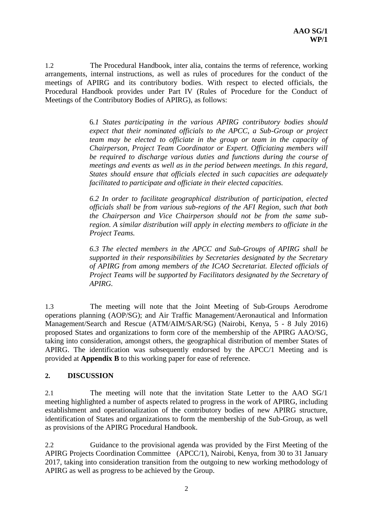1.2 The Procedural Handbook, inter alia, contains the terms of reference, working arrangements, internal instructions, as well as rules of procedures for the conduct of the meetings of APIRG and its contributory bodies. With respect to elected officials, the Procedural Handbook provides under Part IV (Rules of Procedure for the Conduct of Meetings of the Contributory Bodies of APIRG), as follows:

> 6*.1 States participating in the various APIRG contributory bodies should expect that their nominated officials to the APCC, a Sub-Group or project team may be elected to officiate in the group or team in the capacity of Chairperson, Project Team Coordinator or Expert. Officiating members will be required to discharge various duties and functions during the course of meetings and events as well as in the period between meetings. In this regard, States should ensure that officials elected in such capacities are adequately facilitated to participate and officiate in their elected capacities.*

> *6.2 In order to facilitate geographical distribution of participation, elected officials shall be from various sub-regions of the AFI Region, such that both the Chairperson and Vice Chairperson should not be from the same subregion. A similar distribution will apply in electing members to officiate in the Project Teams.*

> *6.3 The elected members in the APCC and Sub-Groups of APIRG shall be supported in their responsibilities by Secretaries designated by the Secretary of APIRG from among members of the ICAO Secretariat. Elected officials of Project Teams will be supported by Facilitators designated by the Secretary of APIRG.*

1.3 The meeting will note that the Joint Meeting of Sub-Groups Aerodrome operations planning (AOP/SG); and Air Traffic Management/Aeronautical and Information Management/Search and Rescue (ATM/AIM/SAR/SG) (Nairobi, Kenya, 5 - 8 July 2016) proposed States and organizations to form core of the membership of the APIRG AAO/SG, taking into consideration, amongst others, the geographical distribution of member States of APIRG. The identification was subsequently endorsed by the APCC/1 Meeting and is provided at **Appendix B** to this working paper for ease of reference.

#### **2. DISCUSSION**

2.1 The meeting will note that the invitation State Letter to the AAO SG/1 meeting highlighted a number of aspects related to progress in the work of APIRG, including establishment and operationalization of the contributory bodies of new APIRG structure, identification of States and organizations to form the membership of the Sub-Group, as well as provisions of the APIRG Procedural Handbook.

2.2 Guidance to the provisional agenda was provided by the First Meeting of the APIRG Projects Coordination Committee (APCC/1), Nairobi, Kenya, from 30 to 31 January 2017, taking into consideration transition from the outgoing to new working methodology of APIRG as well as progress to be achieved by the Group.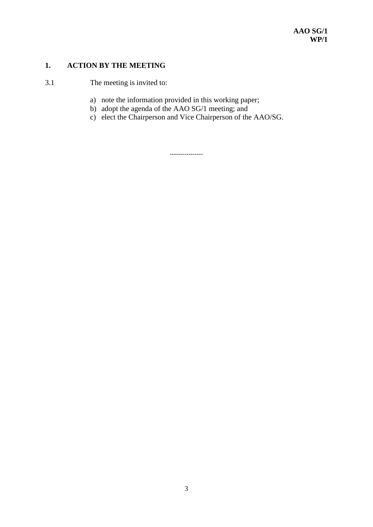## **1. ACTION BY THE MEETING**

3.1 The meeting is invited to:

- a) note the information provided in this working paper;
- b) adopt the agenda of the AAO SG/1 meeting; and
- c) elect the Chairperson and Vice Chairperson of the AAO/SG.

----------------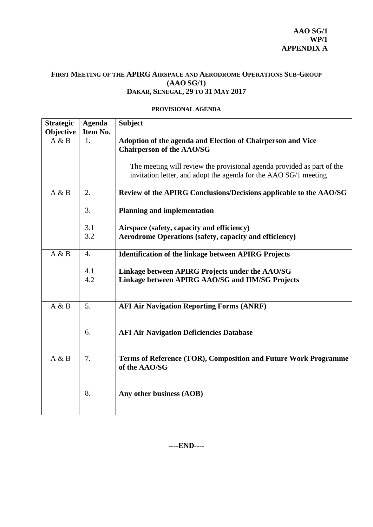## **FIRST MEETING OF THE APIRG AIRSPACE AND AERODROME OPERATIONS SUB-GROUP (AAO SG/1) DAKAR, SENEGAL, 29 TO 31 MAY 2017**

#### **PROVISIONAL AGENDA**

| <b>Strategic</b> | <b>Agenda</b> | <b>Subject</b>                                                         |  |  |
|------------------|---------------|------------------------------------------------------------------------|--|--|
| Objective        | Item No.      |                                                                        |  |  |
| A & B            | 1.            | Adoption of the agenda and Election of Chairperson and Vice            |  |  |
|                  |               | <b>Chairperson of the AAO/SG</b>                                       |  |  |
|                  |               |                                                                        |  |  |
|                  |               | The meeting will review the provisional agenda provided as part of the |  |  |
|                  |               | invitation letter, and adopt the agenda for the AAO SG/1 meeting       |  |  |
|                  |               |                                                                        |  |  |
| A & B            | 2.            |                                                                        |  |  |
|                  |               | Review of the APIRG Conclusions/Decisions applicable to the AAO/SG     |  |  |
|                  | 3.            | <b>Planning and implementation</b>                                     |  |  |
|                  |               |                                                                        |  |  |
|                  | 3.1           | Airspace (safety, capacity and efficiency)                             |  |  |
|                  | 3.2           | <b>Aerodrome Operations (safety, capacity and efficiency)</b>          |  |  |
|                  |               |                                                                        |  |  |
| A & B            | 4.            | <b>Identification of the linkage between APIRG Projects</b>            |  |  |
|                  |               |                                                                        |  |  |
|                  | 4.1           | Linkage between APIRG Projects under the AAO/SG                        |  |  |
|                  | 4.2           | Linkage between APIRG AAO/SG and IIM/SG Projects                       |  |  |
|                  |               |                                                                        |  |  |
|                  |               |                                                                        |  |  |
| A & B            | 5.            | <b>AFI Air Navigation Reporting Forms (ANRF)</b>                       |  |  |
|                  |               |                                                                        |  |  |
|                  |               |                                                                        |  |  |
|                  | 6.            | <b>AFI Air Navigation Deficiencies Database</b>                        |  |  |
|                  |               |                                                                        |  |  |
|                  |               |                                                                        |  |  |
| A & B            | 7.            | Terms of Reference (TOR), Composition and Future Work Programme        |  |  |
|                  |               | of the AAO/SG                                                          |  |  |
|                  |               |                                                                        |  |  |
|                  |               |                                                                        |  |  |
|                  | 8.            | Any other business (AOB)                                               |  |  |
|                  |               |                                                                        |  |  |
|                  |               |                                                                        |  |  |

**----END----**